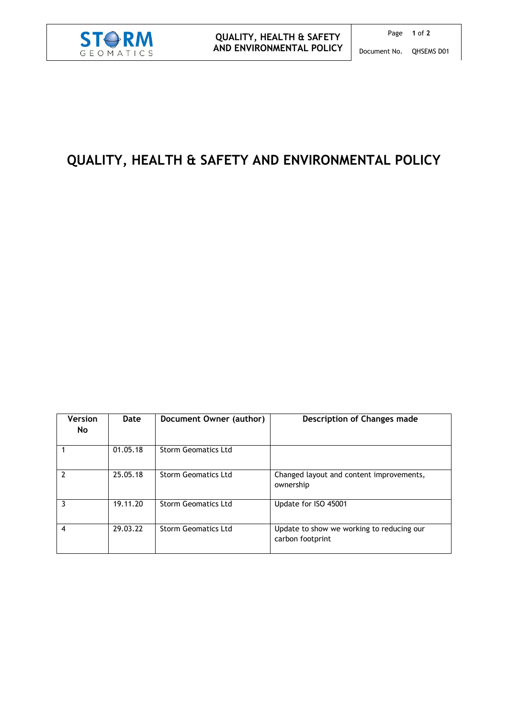

## **QUALITY, HEALTH & SAFETY AND ENVIRONMENTAL POLICY**

| <b>Version</b><br><b>No</b> | Date     | Document Owner (author)    | Description of Changes made                                   |
|-----------------------------|----------|----------------------------|---------------------------------------------------------------|
|                             | 01.05.18 | <b>Storm Geomatics Ltd</b> |                                                               |
| $\overline{2}$              | 25.05.18 | Storm Geomatics Ltd        | Changed layout and content improvements,<br>ownership         |
| 3                           | 19.11.20 | <b>Storm Geomatics Ltd</b> | Update for ISO 45001                                          |
| $\overline{4}$              | 29.03.22 | <b>Storm Geomatics Ltd</b> | Update to show we working to reducing our<br>carbon footprint |